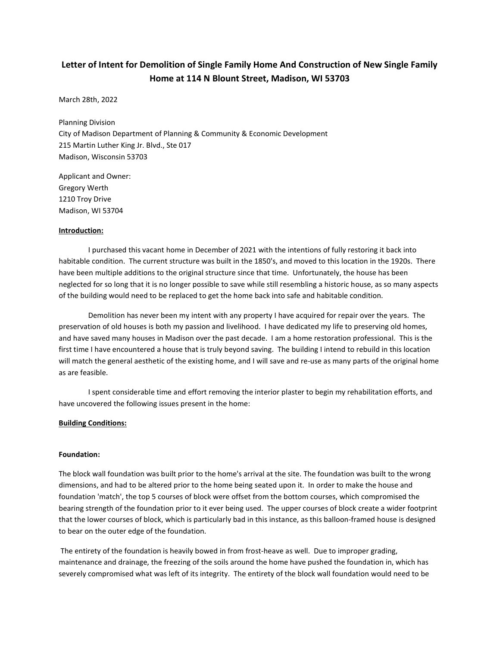# Letter of Intent for Demolition of Single Family Home And Construction of New Single Family Home at 114 N Blount Street, Madison, WI 53703

March 28th, 2022

Planning Division City of Madison Department of Planning & Community & Economic Development 215 Martin Luther King Jr. Blvd., Ste 017 Madison, Wisconsin 53703

Applicant and Owner: Gregory Werth 1210 Troy Drive Madison, WI 53704

#### Introduction:

 I purchased this vacant home in December of 2021 with the intentions of fully restoring it back into habitable condition. The current structure was built in the 1850's, and moved to this location in the 1920s. There have been multiple additions to the original structure since that time. Unfortunately, the house has been neglected for so long that it is no longer possible to save while still resembling a historic house, as so many aspects of the building would need to be replaced to get the home back into safe and habitable condition.

 Demolition has never been my intent with any property I have acquired for repair over the years. The preservation of old houses is both my passion and livelihood. I have dedicated my life to preserving old homes, and have saved many houses in Madison over the past decade. I am a home restoration professional. This is the first time I have encountered a house that is truly beyond saving. The building I intend to rebuild in this location will match the general aesthetic of the existing home, and I will save and re-use as many parts of the original home as are feasible.

 I spent considerable time and effort removing the interior plaster to begin my rehabilitation efforts, and have uncovered the following issues present in the home:

#### Building Conditions:

#### Foundation:

The block wall foundation was built prior to the home's arrival at the site. The foundation was built to the wrong dimensions, and had to be altered prior to the home being seated upon it. In order to make the house and foundation 'match', the top 5 courses of block were offset from the bottom courses, which compromised the bearing strength of the foundation prior to it ever being used. The upper courses of block create a wider footprint that the lower courses of block, which is particularly bad in this instance, as this balloon-framed house is designed to bear on the outer edge of the foundation.

 The entirety of the foundation is heavily bowed in from frost-heave as well. Due to improper grading, maintenance and drainage, the freezing of the soils around the home have pushed the foundation in, which has severely compromised what was left of its integrity. The entirety of the block wall foundation would need to be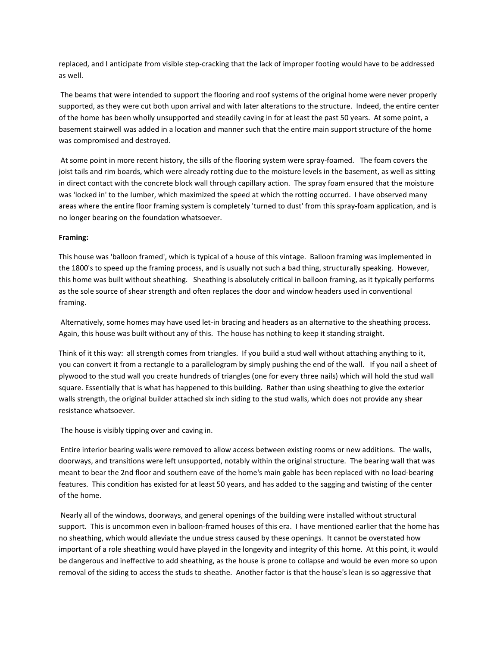replaced, and I anticipate from visible step-cracking that the lack of improper footing would have to be addressed as well.

 The beams that were intended to support the flooring and roof systems of the original home were never properly supported, as they were cut both upon arrival and with later alterations to the structure. Indeed, the entire center of the home has been wholly unsupported and steadily caving in for at least the past 50 years. At some point, a basement stairwell was added in a location and manner such that the entire main support structure of the home was compromised and destroyed.

 At some point in more recent history, the sills of the flooring system were spray-foamed. The foam covers the joist tails and rim boards, which were already rotting due to the moisture levels in the basement, as well as sitting in direct contact with the concrete block wall through capillary action. The spray foam ensured that the moisture was 'locked in' to the lumber, which maximized the speed at which the rotting occurred. I have observed many areas where the entire floor framing system is completely 'turned to dust' from this spray-foam application, and is no longer bearing on the foundation whatsoever.

## Framing:

This house was 'balloon framed', which is typical of a house of this vintage. Balloon framing was implemented in the 1800's to speed up the framing process, and is usually not such a bad thing, structurally speaking. However, this home was built without sheathing. Sheathing is absolutely critical in balloon framing, as it typically performs as the sole source of shear strength and often replaces the door and window headers used in conventional framing.

 Alternatively, some homes may have used let-in bracing and headers as an alternative to the sheathing process. Again, this house was built without any of this. The house has nothing to keep it standing straight.

Think of it this way: all strength comes from triangles. If you build a stud wall without attaching anything to it, you can convert it from a rectangle to a parallelogram by simply pushing the end of the wall. If you nail a sheet of plywood to the stud wall you create hundreds of triangles (one for every three nails) which will hold the stud wall square. Essentially that is what has happened to this building. Rather than using sheathing to give the exterior walls strength, the original builder attached six inch siding to the stud walls, which does not provide any shear resistance whatsoever.

The house is visibly tipping over and caving in.

 Entire interior bearing walls were removed to allow access between existing rooms or new additions. The walls, doorways, and transitions were left unsupported, notably within the original structure. The bearing wall that was meant to bear the 2nd floor and southern eave of the home's main gable has been replaced with no load-bearing features. This condition has existed for at least 50 years, and has added to the sagging and twisting of the center of the home.

 Nearly all of the windows, doorways, and general openings of the building were installed without structural support. This is uncommon even in balloon-framed houses of this era. I have mentioned earlier that the home has no sheathing, which would alleviate the undue stress caused by these openings. It cannot be overstated how important of a role sheathing would have played in the longevity and integrity of this home. At this point, it would be dangerous and ineffective to add sheathing, as the house is prone to collapse and would be even more so upon removal of the siding to access the studs to sheathe. Another factor is that the house's lean is so aggressive that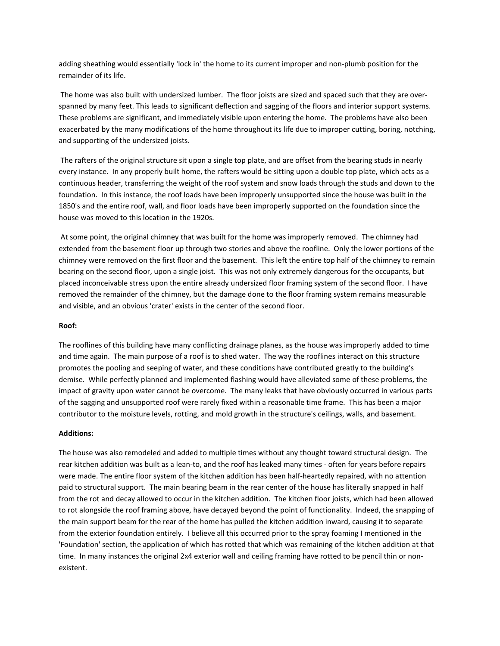adding sheathing would essentially 'lock in' the home to its current improper and non-plumb position for the remainder of its life.

 The home was also built with undersized lumber. The floor joists are sized and spaced such that they are overspanned by many feet. This leads to significant deflection and sagging of the floors and interior support systems. These problems are significant, and immediately visible upon entering the home. The problems have also been exacerbated by the many modifications of the home throughout its life due to improper cutting, boring, notching, and supporting of the undersized joists.

 The rafters of the original structure sit upon a single top plate, and are offset from the bearing studs in nearly every instance. In any properly built home, the rafters would be sitting upon a double top plate, which acts as a continuous header, transferring the weight of the roof system and snow loads through the studs and down to the foundation. In this instance, the roof loads have been improperly unsupported since the house was built in the 1850's and the entire roof, wall, and floor loads have been improperly supported on the foundation since the house was moved to this location in the 1920s.

 At some point, the original chimney that was built for the home was improperly removed. The chimney had extended from the basement floor up through two stories and above the roofline. Only the lower portions of the chimney were removed on the first floor and the basement. This left the entire top half of the chimney to remain bearing on the second floor, upon a single joist. This was not only extremely dangerous for the occupants, but placed inconceivable stress upon the entire already undersized floor framing system of the second floor. I have removed the remainder of the chimney, but the damage done to the floor framing system remains measurable and visible, and an obvious 'crater' exists in the center of the second floor.

## Roof:

The rooflines of this building have many conflicting drainage planes, as the house was improperly added to time and time again. The main purpose of a roof is to shed water. The way the rooflines interact on this structure promotes the pooling and seeping of water, and these conditions have contributed greatly to the building's demise. While perfectly planned and implemented flashing would have alleviated some of these problems, the impact of gravity upon water cannot be overcome. The many leaks that have obviously occurred in various parts of the sagging and unsupported roof were rarely fixed within a reasonable time frame. This has been a major contributor to the moisture levels, rotting, and mold growth in the structure's ceilings, walls, and basement.

## Additions:

The house was also remodeled and added to multiple times without any thought toward structural design. The rear kitchen addition was built as a lean-to, and the roof has leaked many times - often for years before repairs were made. The entire floor system of the kitchen addition has been half-heartedly repaired, with no attention paid to structural support. The main bearing beam in the rear center of the house has literally snapped in half from the rot and decay allowed to occur in the kitchen addition. The kitchen floor joists, which had been allowed to rot alongside the roof framing above, have decayed beyond the point of functionality. Indeed, the snapping of the main support beam for the rear of the home has pulled the kitchen addition inward, causing it to separate from the exterior foundation entirely. I believe all this occurred prior to the spray foaming I mentioned in the 'Foundation' section, the application of which has rotted that which was remaining of the kitchen addition at that time. In many instances the original 2x4 exterior wall and ceiling framing have rotted to be pencil thin or nonexistent.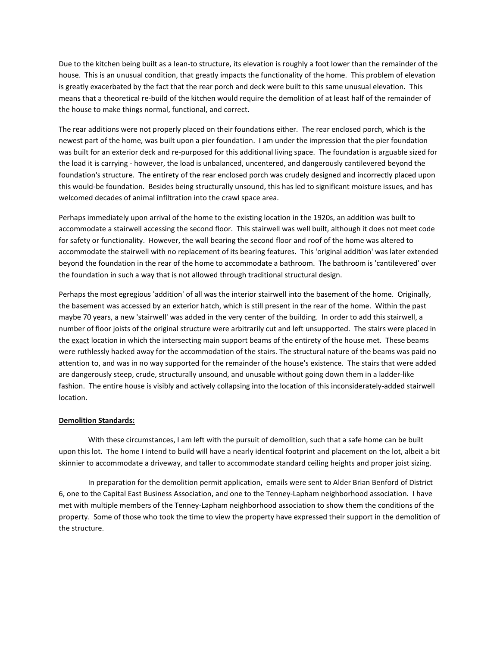Due to the kitchen being built as a lean-to structure, its elevation is roughly a foot lower than the remainder of the house. This is an unusual condition, that greatly impacts the functionality of the home. This problem of elevation is greatly exacerbated by the fact that the rear porch and deck were built to this same unusual elevation. This means that a theoretical re-build of the kitchen would require the demolition of at least half of the remainder of the house to make things normal, functional, and correct.

The rear additions were not properly placed on their foundations either. The rear enclosed porch, which is the newest part of the home, was built upon a pier foundation. I am under the impression that the pier foundation was built for an exterior deck and re-purposed for this additional living space. The foundation is arguable sized for the load it is carrying - however, the load is unbalanced, uncentered, and dangerously cantilevered beyond the foundation's structure. The entirety of the rear enclosed porch was crudely designed and incorrectly placed upon this would-be foundation. Besides being structurally unsound, this has led to significant moisture issues, and has welcomed decades of animal infiltration into the crawl space area.

Perhaps immediately upon arrival of the home to the existing location in the 1920s, an addition was built to accommodate a stairwell accessing the second floor. This stairwell was well built, although it does not meet code for safety or functionality. However, the wall bearing the second floor and roof of the home was altered to accommodate the stairwell with no replacement of its bearing features. This 'original addition' was later extended beyond the foundation in the rear of the home to accommodate a bathroom. The bathroom is 'cantilevered' over the foundation in such a way that is not allowed through traditional structural design.

Perhaps the most egregious 'addition' of all was the interior stairwell into the basement of the home. Originally, the basement was accessed by an exterior hatch, which is still present in the rear of the home. Within the past maybe 70 years, a new 'stairwell' was added in the very center of the building. In order to add this stairwell, a number of floor joists of the original structure were arbitrarily cut and left unsupported. The stairs were placed in the exact location in which the intersecting main support beams of the entirety of the house met. These beams were ruthlessly hacked away for the accommodation of the stairs. The structural nature of the beams was paid no attention to, and was in no way supported for the remainder of the house's existence. The stairs that were added are dangerously steep, crude, structurally unsound, and unusable without going down them in a ladder-like fashion. The entire house is visibly and actively collapsing into the location of this inconsiderately-added stairwell location.

## Demolition Standards:

 With these circumstances, I am left with the pursuit of demolition, such that a safe home can be built upon this lot. The home I intend to build will have a nearly identical footprint and placement on the lot, albeit a bit skinnier to accommodate a driveway, and taller to accommodate standard ceiling heights and proper joist sizing.

 In preparation for the demolition permit application, emails were sent to Alder Brian Benford of District 6, one to the Capital East Business Association, and one to the Tenney-Lapham neighborhood association. I have met with multiple members of the Tenney-Lapham neighborhood association to show them the conditions of the property. Some of those who took the time to view the property have expressed their support in the demolition of the structure.